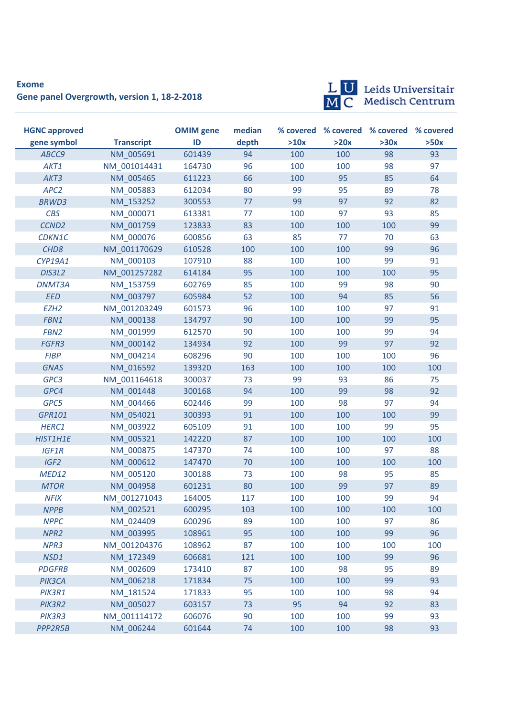## **Exome Gene panel Overgrowth, version 1, 18-2-2018**



L U Leids Universitair<br>M C Medisch Centrum

| <b>HGNC approved</b> |                   | <b>OMIM</b> gene | median |      |      | % covered % covered % covered % covered |      |
|----------------------|-------------------|------------------|--------|------|------|-----------------------------------------|------|
| gene symbol          | <b>Transcript</b> | ID               | depth  | >10x | >20x | >30x                                    | >50x |
| ABCC9                | NM 005691         | 601439           | 94     | 100  | 100  | 98                                      | 93   |
| AKT1                 | NM_001014431      | 164730           | 96     | 100  | 100  | 98                                      | 97   |
| AKT3                 | NM 005465         | 611223           | 66     | 100  | 95   | 85                                      | 64   |
| APC <sub>2</sub>     | NM 005883         | 612034           | 80     | 99   | 95   | 89                                      | 78   |
| <b>BRWD3</b>         | NM 153252         | 300553           | 77     | 99   | 97   | 92                                      | 82   |
| <b>CBS</b>           | NM 000071         | 613381           | 77     | 100  | 97   | 93                                      | 85   |
| CCND <sub>2</sub>    | NM 001759         | 123833           | 83     | 100  | 100  | 100                                     | 99   |
| CDKN1C               | NM 000076         | 600856           | 63     | 85   | 77   | 70                                      | 63   |
| CHD <sub>8</sub>     | NM 001170629      | 610528           | 100    | 100  | 100  | 99                                      | 96   |
| CYP19A1              | NM 000103         | 107910           | 88     | 100  | 100  | 99                                      | 91   |
| DIS3L2               | NM 001257282      | 614184           | 95     | 100  | 100  | 100                                     | 95   |
| <b>DNMT3A</b>        | NM 153759         | 602769           | 85     | 100  | 99   | 98                                      | 90   |
| EED                  | NM 003797         | 605984           | 52     | 100  | 94   | 85                                      | 56   |
| EZH <sub>2</sub>     | NM 001203249      | 601573           | 96     | 100  | 100  | 97                                      | 91   |
| FBN1                 | NM 000138         | 134797           | 90     | 100  | 100  | 99                                      | 95   |
| FBN <sub>2</sub>     | NM 001999         | 612570           | 90     | 100  | 100  | 99                                      | 94   |
| FGFR3                | NM 000142         | 134934           | 92     | 100  | 99   | 97                                      | 92   |
| <b>FIBP</b>          | NM 004214         | 608296           | 90     | 100  | 100  | 100                                     | 96   |
| <b>GNAS</b>          | NM 016592         | 139320           | 163    | 100  | 100  | 100                                     | 100  |
| GPC3                 | NM 001164618      | 300037           | 73     | 99   | 93   | 86                                      | 75   |
| GPC4                 | NM_001448         | 300168           | 94     | 100  | 99   | 98                                      | 92   |
| GPC5                 | NM 004466         | 602446           | 99     | 100  | 98   | 97                                      | 94   |
| GPR101               | NM 054021         | 300393           | 91     | 100  | 100  | 100                                     | 99   |
| HERC1                | NM_003922         | 605109           | 91     | 100  | 100  | 99                                      | 95   |
| HIST1H1E             | NM 005321         | 142220           | 87     | 100  | 100  | 100                                     | 100  |
| <b>IGF1R</b>         | NM 000875         | 147370           | 74     | 100  | 100  | 97                                      | 88   |
| IGF <sub>2</sub>     | NM 000612         | 147470           | 70     | 100  | 100  | 100                                     | 100  |
| MED12                | NM_005120         | 300188           | 73     | 100  | 98   | 95                                      | 85   |
| <b>MTOR</b>          | NM 004958         | 601231           | 80     | 100  | 99   | 97                                      | 89   |
| <b>NFIX</b>          | NM 001271043      | 164005           | 117    | 100  | 100  | 99                                      | 94   |
| <b>NPPB</b>          | NM 002521         | 600295           | 103    | 100  | 100  | 100                                     | 100  |
| <b>NPPC</b>          | NM 024409         | 600296           | 89     | 100  | 100  | 97                                      | 86   |
| NPR <sub>2</sub>     | NM 003995         | 108961           | 95     | 100  | 100  | 99                                      | 96   |
| NPR <sub>3</sub>     | NM_001204376      | 108962           | 87     | 100  | 100  | 100                                     | 100  |
| NSD1                 | NM_172349         | 606681           | 121    | 100  | 100  | 99                                      | 96   |
| <b>PDGFRB</b>        | NM_002609         | 173410           | 87     | 100  | 98   | 95                                      | 89   |
| PIK3CA               | NM 006218         | 171834           | 75     | 100  | 100  | 99                                      | 93   |
| PIK3R1               | NM_181524         | 171833           | 95     | 100  | 100  | 98                                      | 94   |
| PIK3R2               | NM_005027         | 603157           | 73     | 95   | 94   | 92                                      | 83   |
| PIK3R3               | NM_001114172      | 606076           | 90     | 100  | 100  | 99                                      | 93   |
| PPP2R5B              | NM 006244         | 601644           | 74     | 100  | 100  | 98                                      | 93   |